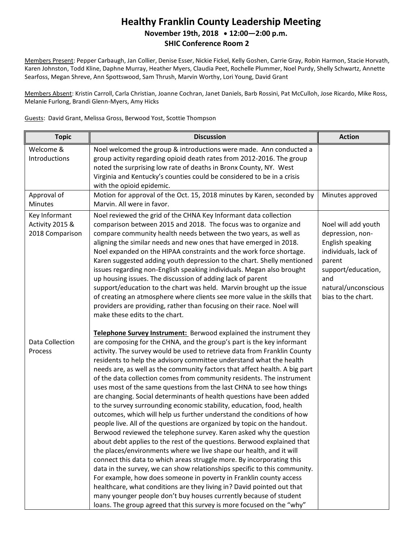## **Healthy Franklin County Leadership Meeting November 19th, 2018 12:00—2:00 p.m. SHIC Conference Room 2**

Members Present: Pepper Carbaugh, Jan Collier, Denise Esser, Nickie Fickel, Kelly Goshen, Carrie Gray, Robin Harmon, Stacie Horvath, Karen Johnston, Todd Kline, Daphne Murray, Heather Myers, Claudia Peet, Rochelle Plummer, Noel Purdy, Shelly Schwartz, Annette Searfoss, Megan Shreve, Ann Spottswood, Sam Thrush, Marvin Worthy, Lori Young, David Grant

Members Absent: Kristin Carroll, Carla Christian, Joanne Cochran, Janet Daniels, Barb Rossini, Pat McCulloh, Jose Ricardo, Mike Ross, Melanie Furlong, Brandi Glenn-Myers, Amy Hicks

Guests: David Grant, Melissa Gross, Berwood Yost, Scottie Thompson

| <b>Topic</b>                                        | <b>Discussion</b>                                                                                                                                                                                                                                                                                                                                                                                                                                                                                                                                                                                                                                                                                                                                                                                                                                                                                                                                                                                                                                                                                                                                                                                                                                                                                                                                                                                                                                                                                                 | <b>Action</b>                                                                                                                                                           |
|-----------------------------------------------------|-------------------------------------------------------------------------------------------------------------------------------------------------------------------------------------------------------------------------------------------------------------------------------------------------------------------------------------------------------------------------------------------------------------------------------------------------------------------------------------------------------------------------------------------------------------------------------------------------------------------------------------------------------------------------------------------------------------------------------------------------------------------------------------------------------------------------------------------------------------------------------------------------------------------------------------------------------------------------------------------------------------------------------------------------------------------------------------------------------------------------------------------------------------------------------------------------------------------------------------------------------------------------------------------------------------------------------------------------------------------------------------------------------------------------------------------------------------------------------------------------------------------|-------------------------------------------------------------------------------------------------------------------------------------------------------------------------|
| Welcome &<br>Introductions                          | Noel welcomed the group & introductions were made. Ann conducted a<br>group activity regarding opioid death rates from 2012-2016. The group<br>noted the surprising low rate of deaths in Bronx County, NY. West<br>Virginia and Kentucky's counties could be considered to be in a crisis<br>with the opioid epidemic.                                                                                                                                                                                                                                                                                                                                                                                                                                                                                                                                                                                                                                                                                                                                                                                                                                                                                                                                                                                                                                                                                                                                                                                           |                                                                                                                                                                         |
| Approval of<br><b>Minutes</b>                       | Motion for approval of the Oct. 15, 2018 minutes by Karen, seconded by<br>Marvin. All were in favor.                                                                                                                                                                                                                                                                                                                                                                                                                                                                                                                                                                                                                                                                                                                                                                                                                                                                                                                                                                                                                                                                                                                                                                                                                                                                                                                                                                                                              | Minutes approved                                                                                                                                                        |
| Key Informant<br>Activity 2015 &<br>2018 Comparison | Noel reviewed the grid of the CHNA Key Informant data collection<br>comparison between 2015 and 2018. The focus was to organize and<br>compare community health needs between the two years, as well as<br>aligning the similar needs and new ones that have emerged in 2018.<br>Noel expanded on the HIPAA constraints and the work force shortage.<br>Karen suggested adding youth depression to the chart. Shelly mentioned<br>issues regarding non-English speaking individuals. Megan also brought<br>up housing issues. The discussion of adding lack of parent<br>support/education to the chart was held. Marvin brought up the issue<br>of creating an atmosphere where clients see more value in the skills that<br>providers are providing, rather than focusing on their race. Noel will<br>make these edits to the chart.                                                                                                                                                                                                                                                                                                                                                                                                                                                                                                                                                                                                                                                                            | Noel will add youth<br>depression, non-<br>English speaking<br>individuals, lack of<br>parent<br>support/education,<br>and<br>natural/unconscious<br>bias to the chart. |
| Data Collection<br>Process                          | Telephone Survey Instrument: Berwood explained the instrument they<br>are composing for the CHNA, and the group's part is the key informant<br>activity. The survey would be used to retrieve data from Franklin County<br>residents to help the advisory committee understand what the health<br>needs are, as well as the community factors that affect health. A big part<br>of the data collection comes from community residents. The instrument<br>uses most of the same questions from the last CHNA to see how things<br>are changing. Social determinants of health questions have been added<br>to the survey surrounding economic stability, education, food, health<br>outcomes, which will help us further understand the conditions of how<br>people live. All of the questions are organized by topic on the handout.<br>Berwood reviewed the telephone survey. Karen asked why the question<br>about debt applies to the rest of the questions. Berwood explained that<br>the places/environments where we live shape our health, and it will<br>connect this data to which areas struggle more. By incorporating this<br>data in the survey, we can show relationships specific to this community.<br>For example, how does someone in poverty in Franklin county access<br>healthcare, what conditions are they living in? David pointed out that<br>many younger people don't buy houses currently because of student<br>loans. The group agreed that this survey is more focused on the "why" |                                                                                                                                                                         |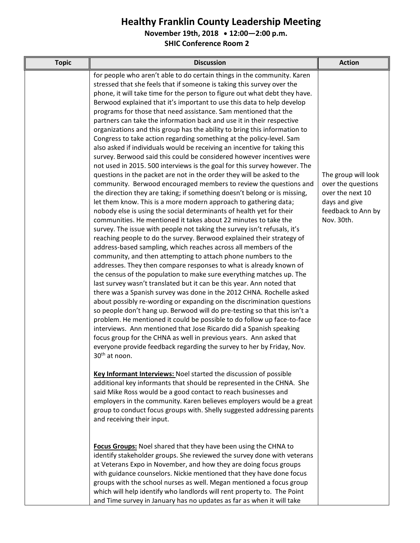## **Healthy Franklin County Leadership Meeting**

**November 19th, 2018 12:00—2:00 p.m.**

**SHIC Conference Room 2**

| <b>Topic</b> | <b>Discussion</b>                                                                                                                                                                                                                                                                                                                                                                                                                                                                                                                                                                                                                                                                                                                                                                                                                                                                                                                                                                                                                                                                                                                                                                                                                                                                                                                                                                                                                                                                                                                                                                                                                                                                                                                                                                                                                                                                                                                                                                                                                                                                                                                                                                                                                                                                                                                                                    | <b>Action</b>                                                                                                      |
|--------------|----------------------------------------------------------------------------------------------------------------------------------------------------------------------------------------------------------------------------------------------------------------------------------------------------------------------------------------------------------------------------------------------------------------------------------------------------------------------------------------------------------------------------------------------------------------------------------------------------------------------------------------------------------------------------------------------------------------------------------------------------------------------------------------------------------------------------------------------------------------------------------------------------------------------------------------------------------------------------------------------------------------------------------------------------------------------------------------------------------------------------------------------------------------------------------------------------------------------------------------------------------------------------------------------------------------------------------------------------------------------------------------------------------------------------------------------------------------------------------------------------------------------------------------------------------------------------------------------------------------------------------------------------------------------------------------------------------------------------------------------------------------------------------------------------------------------------------------------------------------------------------------------------------------------------------------------------------------------------------------------------------------------------------------------------------------------------------------------------------------------------------------------------------------------------------------------------------------------------------------------------------------------------------------------------------------------------------------------------------------------|--------------------------------------------------------------------------------------------------------------------|
|              | for people who aren't able to do certain things in the community. Karen<br>stressed that she feels that if someone is taking this survey over the<br>phone, it will take time for the person to figure out what debt they have.<br>Berwood explained that it's important to use this data to help develop<br>programs for those that need assistance. Sam mentioned that the<br>partners can take the information back and use it in their respective<br>organizations and this group has the ability to bring this information to<br>Congress to take action regarding something at the policy-level. Sam<br>also asked if individuals would be receiving an incentive for taking this<br>survey. Berwood said this could be considered however incentives were<br>not used in 2015. 500 interviews is the goal for this survey however. The<br>questions in the packet are not in the order they will be asked to the<br>community. Berwood encouraged members to review the questions and<br>the direction they are taking; if something doesn't belong or is missing,<br>let them know. This is a more modern approach to gathering data;<br>nobody else is using the social determinants of health yet for their<br>communities. He mentioned it takes about 22 minutes to take the<br>survey. The issue with people not taking the survey isn't refusals, it's<br>reaching people to do the survey. Berwood explained their strategy of<br>address-based sampling, which reaches across all members of the<br>community, and then attempting to attach phone numbers to the<br>addresses. They then compare responses to what is already known of<br>the census of the population to make sure everything matches up. The<br>last survey wasn't translated but it can be this year. Ann noted that<br>there was a Spanish survey was done in the 2012 CHNA. Rochelle asked<br>about possibly re-wording or expanding on the discrimination questions<br>so people don't hang up. Berwood will do pre-testing so that this isn't a<br>problem. He mentioned it could be possible to do follow up face-to-face<br>interviews. Ann mentioned that Jose Ricardo did a Spanish speaking<br>focus group for the CHNA as well in previous years. Ann asked that<br>everyone provide feedback regarding the survey to her by Friday, Nov.<br>30 <sup>th</sup> at noon. | The group will look<br>over the questions<br>over the next 10<br>days and give<br>feedback to Ann by<br>Nov. 30th. |
|              | Key Informant Interviews: Noel started the discussion of possible<br>additional key informants that should be represented in the CHNA. She<br>said Mike Ross would be a good contact to reach businesses and<br>employers in the community. Karen believes employers would be a great<br>group to conduct focus groups with. Shelly suggested addressing parents<br>and receiving their input.                                                                                                                                                                                                                                                                                                                                                                                                                                                                                                                                                                                                                                                                                                                                                                                                                                                                                                                                                                                                                                                                                                                                                                                                                                                                                                                                                                                                                                                                                                                                                                                                                                                                                                                                                                                                                                                                                                                                                                       |                                                                                                                    |
|              | Focus Groups: Noel shared that they have been using the CHNA to<br>identify stakeholder groups. She reviewed the survey done with veterans<br>at Veterans Expo in November, and how they are doing focus groups<br>with guidance counselors. Nickie mentioned that they have done focus<br>groups with the school nurses as well. Megan mentioned a focus group<br>which will help identify who landlords will rent property to. The Point<br>and Time survey in January has no updates as far as when it will take                                                                                                                                                                                                                                                                                                                                                                                                                                                                                                                                                                                                                                                                                                                                                                                                                                                                                                                                                                                                                                                                                                                                                                                                                                                                                                                                                                                                                                                                                                                                                                                                                                                                                                                                                                                                                                                  |                                                                                                                    |